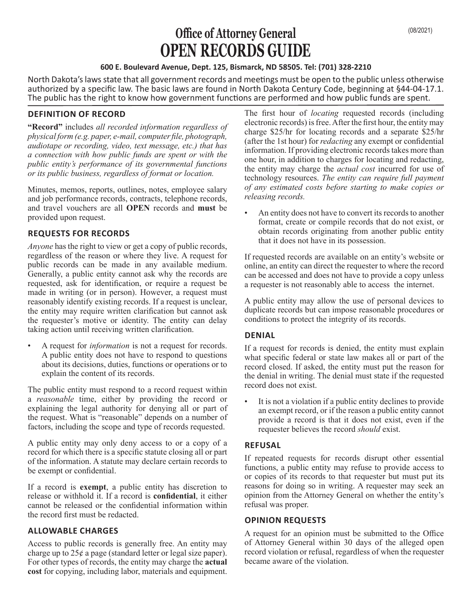# **Office of Attorney General** (08/2021) **OPEN RECORDS GUIDE**

#### **600 E. Boulevard Avenue, Dept. 125, Bismarck, ND 58505. Tel: (701) 328-2210**

North Dakota's laws state that all government records and meetings must be open to the public unless otherwise authorized by a specific law. The basic laws are found in North Dakota Century Code, beginning at §44-04-17.1. The public has the right to know how government functions are performed and how public funds are spent.

## **DEFINITION OF RECORD**

**"Record"** includes *all recorded information regardless of physical form (e.g. paper, e-mail, computer file, photograph, audiotape or recording, video, text message, etc.) that has a connection with how public funds are spent or with the public entity's performance of its governmental functions or its public business, regardless of format or location.* 

Minutes, memos, reports, outlines, notes, employee salary and job performance records, contracts, telephone records, and travel vouchers are all **OPEN** records and **must** be provided upon request.

### **REQUESTS FOR RECORDS**

*Anyone* has the right to view or get a copy of public records, regardless of the reason or where they live. A request for public records can be made in any available medium. Generally, a public entity cannot ask why the records are requested, ask for identification, or require a request be made in writing (or in person). However, a request must reasonably identify existing records. If a request is unclear, the entity may require written clarification but cannot ask the requester's motive or identity. The entity can delay taking action until receiving written clarification.

• A request for *information* is not a request for records. A public entity does not have to respond to questions about its decisions, duties, functions or operations or to explain the content of its records.

The public entity must respond to a record request within a *reasonable* time, either by providing the record or explaining the legal authority for denying all or part of the request. What is "reasonable" depends on a number of factors, including the scope and type of records requested.

A public entity may only deny access to or a copy of a record for which there is a specific statute closing all or part of the information. A statute may declare certain records to be exempt or confidential.

If a record is **exempt**, a public entity has discretion to release or withhold it. If a record is **confidential**, it either cannot be released or the confidential information within the record first must be redacted.

### **ALLOWABLE CHARGES**

Access to public records is generally free. An entity may charge up to 25¢ a page (standard letter or legal size paper). For other types of records, the entity may charge the **actual cost** for copying, including labor, materials and equipment.

The first hour of *locating* requested records (including electronic records) is free. After the first hour, the entity may charge \$25/hr for locating records and a separate \$25/hr (after the 1st hour) for *redacting* any exempt or confidential information. If providing electronic records takes more than one hour, in addition to charges for locating and redacting, the entity may charge the *actual cost* incurred for use of technology resources. *The entity can require full payment of any estimated costs before starting to make copies or releasing records.* 

• An entity does not have to convert its records to another format, create or compile records that do not exist, or obtain records originating from another public entity that it does not have in its possession.

If requested records are available on an entity's website or online, an entity can direct the requester to where the record can be accessed and does not have to provide a copy unless a requester is not reasonably able to access the internet.

A public entity may allow the use of personal devices to duplicate records but can impose reasonable procedures or conditions to protect the integrity of its records.

### **DENIAL**

If a request for records is denied, the entity must explain what specific federal or state law makes all or part of the record closed. If asked, the entity must put the reason for the denial in writing. The denial must state if the requested record does not exist.

It is not a violation if a public entity declines to provide an exempt record, or if the reason a public entity cannot provide a record is that it does not exist, even if the requester believes the record *should* exist.

### **REFUSAL**

If repeated requests for records disrupt other essential functions, a public entity may refuse to provide access to or copies of its records to that requester but must put its reasons for doing so in writing. A requester may seek an opinion from the Attorney General on whether the entity's refusal was proper.

### **OPINION REQUESTS**

A request for an opinion must be submitted to the Office of Attorney General within 30 days of the alleged open record violation or refusal, regardless of when the requester became aware of the violation.